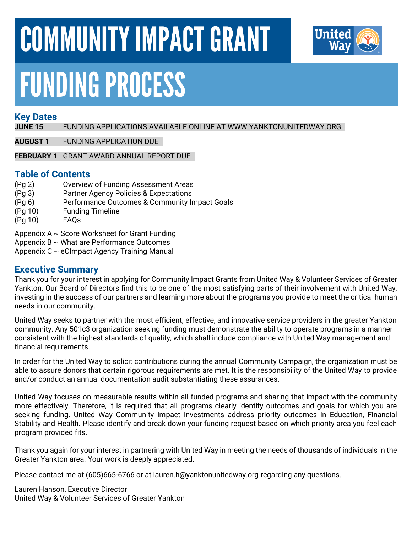# COMMUNITY IMPACT GRANT



# FUNDING PROCESS

#### **Key Dates**

**JUNE 15** FUNDING APPLICATIONS AVAILABLE ONLINE AT [WWW.YANKTONUNITEDWAY.ORG](http://www.yanktonunitedway.org/)

**AUGUST 1** FUNDING APPLICATION DUE

**FEBRUARY 1** GRANT AWARD ANNUAL REPORT DUE

#### **Table of Contents**

- (Pg 2) Overview of Funding Assessment Areas
- (Pg 3) Partner Agency Policies & Expectations
- (Pg 6) Performance Outcomes & Community Impact Goals
- (Pg 10) Funding Timeline
- (Pg 10) FAQs

Appendix  $A \sim$  Score Worksheet for Grant Funding

- Appendix  $B \sim W$ hat are Performance Outcomes
- Appendix C ~ eCImpact Agency Training Manual

#### **Executive Summary**

Thank you for your interest in applying for Community Impact Grants from United Way & Volunteer Services of Greater Yankton. Our Board of Directors find this to be one of the most satisfying parts of their involvement with United Way, investing in the success of our partners and learning more about the programs you provide to meet the critical human needs in our community.

United Way seeks to partner with the most efficient, effective, and innovative service providers in the greater Yankton community. Any 501c3 organization seeking funding must demonstrate the ability to operate programs in a manner consistent with the highest standards of quality, which shall include compliance with United Way management and financial requirements.

In order for the United Way to solicit contributions during the annual Community Campaign, the organization must be able to assure donors that certain rigorous requirements are met. It is the responsibility of the United Way to provide and/or conduct an annual documentation audit substantiating these assurances.

United Way focuses on measurable results within all funded programs and sharing that impact with the community more effectively. Therefore, it is required that all programs clearly identify outcomes and goals for which you are seeking funding. United Way Community Impact investments address priority outcomes in Education, Financial Stability and Health. Please identify and break down your funding request based on which priority area you feel each program provided fits.

Thank you again for your interest in partnering with United Way in meeting the needs of thousands of individuals in the Greater Yankton area. Your work is deeply appreciated.

Please contact me at (605)665-6766 or at <u>lauren.h@yanktonunitedway.org</u> regarding any questions.

Lauren Hanson, Executive Director United Way & Volunteer Services of Greater Yankton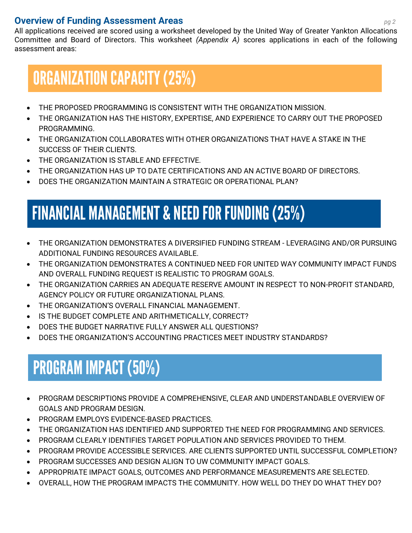#### **Overview of Funding Assessment Areas** *pg2*

All applications received are scored using a worksheet developed by the United Way of Greater Yankton Allocations Committee and Board of Directors. This worksheet *(Appendix A)* scores applications in each of the following assessment areas:

### ORGANIZATION CAPACITY (25%)

- THE PROPOSED PROGRAMMING IS CONSISTENT WITH THE ORGANIZATION MISSION.
- THE ORGANIZATION HAS THE HISTORY, EXPERTISE, AND EXPERIENCE TO CARRY OUT THE PROPOSED PROGRAMMING.
- THE ORGANIZATION COLLABORATES WITH OTHER ORGANIZATIONS THAT HAVE A STAKE IN THE SUCCESS OF THEIR CLIENTS.
- THE ORGANIZATION IS STABLE AND EFFECTIVE.
- THE ORGANIZATION HAS UP TO DATE CERTIFICATIONS AND AN ACTIVE BOARD OF DIRECTORS.
- DOES THE ORGANIZATION MAINTAIN A STRATEGIC OR OPERATIONAL PLAN?

## FINANCIAL MANAGEMENT & NEED FOR FUNDING (25%)

- THE ORGANIZATION DEMONSTRATES A DIVERSIFIED FUNDING STREAM LEVERAGING AND/OR PURSUING ADDITIONAL FUNDING RESOURCES AVAILABLE.
- THE ORGANIZATION DEMONSTRATES A CONTINUED NEED FOR UNITED WAY COMMUNITY IMPACT FUNDS AND OVERALL FUNDING REQUEST IS REALISTIC TO PROGRAM GOALS.
- THE ORGANIZATION CARRIES AN ADEQUATE RESERVE AMOUNT IN RESPECT TO NON-PROFIT STANDARD, AGENCY POLICY OR FUTURE ORGANIZATIONAL PLANS.
- THE ORGANIZATION'S OVERALL FINANCIAL MANAGEMENT.
- IS THE BUDGET COMPLETE AND ARITHMETICALLY, CORRECT?
- DOES THE BUDGET NARRATIVE FULLY ANSWER ALL QUESTIONS?
- DOES THE ORGANIZATION'S ACCOUNTING PRACTICES MEET INDUSTRY STANDARDS?

### PROGRAM IMPACT (50%)

- PROGRAM DESCRIPTIONS PROVIDE A COMPREHENSIVE, CLEAR AND UNDERSTANDABLE OVERVIEW OF GOALS AND PROGRAM DESIGN.
- PROGRAM EMPLOYS EVIDENCE-BASED PRACTICES.
- THE ORGANIZATION HAS IDENTIFIED AND SUPPORTED THE NEED FOR PROGRAMMING AND SERVICES.
- PROGRAM CLEARLY IDENTIFIES TARGET POPULATION AND SERVICES PROVIDED TO THEM.
- PROGRAM PROVIDE ACCESSIBLE SERVICES. ARE CLIENTS SUPPORTED UNTIL SUCCESSFUL COMPLETION?
- PROGRAM SUCCESSES AND DESIGN ALIGN TO UW COMMUNITY IMPACT GOALS.
- APPROPRIATE IMPACT GOALS, OUTCOMES AND PERFORMANCE MEASUREMENTS ARE SELECTED.
- OVERALL, HOW THE PROGRAM IMPACTS THE COMMUNITY. HOW WELL DO THEY DO WHAT THEY DO?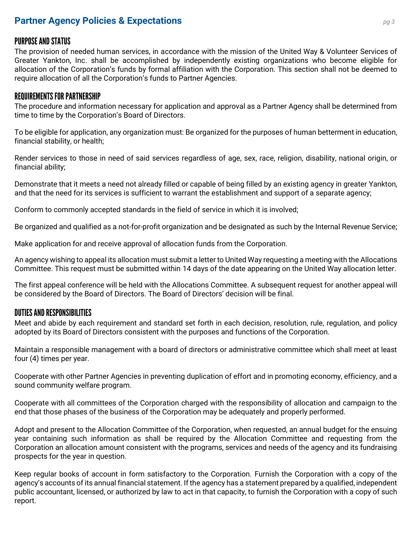#### **Partner Agency Policies & Expectations** *pg3*

#### PURPOSE AND STATUS

The provision of needed human services, in accordance with the mission of the United Way & Volunteer Services of Greater Yankton, Inc. shall be accomplished by independently existing organizations who become eligible for allocation of the Corporation's funds by formal affiliation with the Corporation. This section shall not be deemed to require allocation of all the Corporation's funds to Partner Agencies.

#### REQUIREMENTS FOR PARTNERSHIP

The procedure and information necessary for application and approval as a Partner Agency shall be determined from time to time by the Corporation's Board of Directors.

To be eligible for application, any organization must: Be organized for the purposes of human betterment in education, financial stability, or health;

Render services to those in need of said services regardless of age, sex, race, religion, disability, national origin, or financial ability;

Demonstrate that it meets a need not already filled or capable of being filled by an existing agency in greater Yankton, and that the need for its services is sufficient to warrant the establishment and support of a separate agency;

Conform to commonly accepted standards in the field of service in which it is involved;

Be organized and qualified as a not-for-profit organization and be designated as such by the Internal Revenue Service;

Make application for and receive approval of allocation funds from the Corporation.

An agency wishing to appeal its allocation must submit a letter to United Way requesting a meeting with the Allocations Committee. This request must be submitted within 14 days of the date appearing on the United Way allocation letter.

The first appeal conference will be held with the Allocations Committee. A subsequent request for another appeal will be considered by the Board of Directors. The Board of Directors' decision will be final.

#### DUTIES AND RESPONSIBILITIES

Meet and abide by each requirement and standard set forth in each decision, resolution, rule, regulation, and policy adopted by its Board of Directors consistent with the purposes and functions of the Corporation.

Maintain a responsible management with a board of directors or administrative committee which shall meet at least four (4) times per year.

Cooperate with other Partner Agencies in preventing duplication of effort and in promoting economy, efficiency, and a sound community welfare program.

Cooperate with all committees of the Corporation charged with the responsibility of allocation and campaign to the end that those phases of the business of the Corporation may be adequately and properly performed.

Adopt and present to the Allocation Committee of the Corporation, when requested, an annual budget for the ensuing year containing such information as shall be required by the Allocation Committee and requesting from the Corporation an allocation amount consistent with the programs, services and needs of the agency and its fundraising prospects for the year in question.

Keep regular books of account in form satisfactory to the Corporation. Furnish the Corporation with a copy of the agency's accounts of its annual financial statement. If the agency has a statement prepared by a qualified, independent public accountant, licensed, or authorized by law to act in that capacity, to furnish the Corporation with a copy of such report.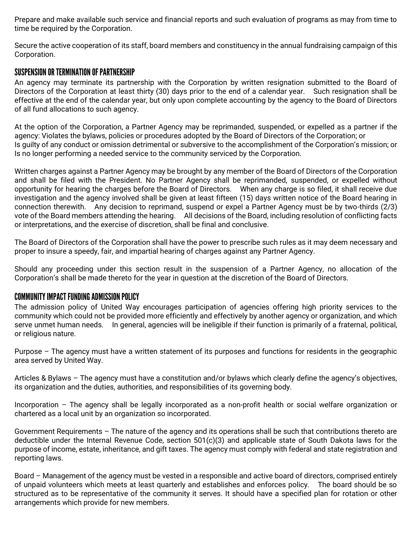Prepare and make available such service and financial reports and such evaluation of programs as may from time to time be required by the Corporation.

Secure the active cooperation of its staff, board members and constituency in the annual fundraising campaign of this Corporation.

#### SUSPENSION OR TERMINATION OF PARTNERSHIP

An agency may terminate its partnership with the Corporation by written resignation submitted to the Board of Directors of the Corporation at least thirty (30) days prior to the end of a calendar year. Such resignation shall be effective at the end of the calendar year, but only upon complete accounting by the agency to the Board of Directors of all fund allocations to such agency.

At the option of the Corporation, a Partner Agency may be reprimanded, suspended, or expelled as a partner if the agency: Violates the bylaws, policies or procedures adopted by the Board of Directors of the Corporation; or Is guilty of any conduct or omission detrimental or subversive to the accomplishment of the Corporation's mission; or Is no longer performing a needed service to the community serviced by the Corporation.

Written charges against a Partner Agency may be brought by any member of the Board of Directors of the Corporation and shall be filed with the President. No Partner Agency shall be reprimanded, suspended, or expelled without opportunity for hearing the charges before the Board of Directors. When any charge is so filed, it shall receive due investigation and the agency involved shall be given at least fifteen (15) days written notice of the Board hearing in connection therewith. Any decision to reprimand, suspend or expel a Partner Agency must be by two-thirds (2/3) vote of the Board members attending the hearing. All decisions of the Board, including resolution of conflicting facts or interpretations, and the exercise of discretion, shall be final and conclusive.

The Board of Directors of the Corporation shall have the power to prescribe such rules as it may deem necessary and proper to insure a speedy, fair, and impartial hearing of charges against any Partner Agency.

Should any proceeding under this section result in the suspension of a Partner Agency, no allocation of the Corporation's shall be made thereto for the year in question at the discretion of the Board of Directors.

#### COMMUNITY IMPACT FUNDING ADMISSION POLICY

The admission policy of United Way encourages participation of agencies offering high priority services to the community which could not be provided more efficiently and effectively by another agency or organization, and which serve unmet human needs. In general, agencies will be ineligible if their function is primarily of a fraternal, political, or religious nature.

Purpose – The agency must have a written statement of its purposes and functions for residents in the geographic area served by United Way.

Articles & Bylaws – The agency must have a constitution and/or bylaws which clearly define the agency's objectives, its organization and the duties, authorities, and responsibilities of its governing body.

Incorporation – The agency shall be legally incorporated as a non-profit health or social welfare organization or chartered as a local unit by an organization so incorporated.

Government Requirements – The nature of the agency and its operations shall be such that contributions thereto are deductible under the Internal Revenue Code, section 501(c)(3) and applicable state of South Dakota laws for the purpose of income, estate, inheritance, and gift taxes. The agency must comply with federal and state registration and reporting laws.

Board – Management of the agency must be vested in a responsible and active board of directors, comprised entirely of unpaid volunteers which meets at least quarterly and establishes and enforces policy. The board should be so structured as to be representative of the community it serves. It should have a specified plan for rotation or other arrangements which provide for new members.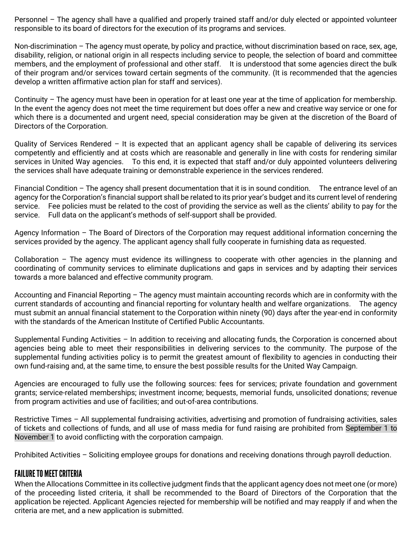Personnel – The agency shall have a qualified and properly trained staff and/or duly elected or appointed volunteer responsible to its board of directors for the execution of its programs and services.

Non-discrimination – The agency must operate, by policy and practice, without discrimination based on race, sex, age, disability, religion, or national origin in all respects including service to people, the selection of board and committee members, and the employment of professional and other staff. It is understood that some agencies direct the bulk of their program and/or services toward certain segments of the community. (It is recommended that the agencies develop a written affirmative action plan for staff and services).

Continuity – The agency must have been in operation for at least one year at the time of application for membership. In the event the agency does not meet the time requirement but does offer a new and creative way service or one for which there is a documented and urgent need, special consideration may be given at the discretion of the Board of Directors of the Corporation.

Quality of Services Rendered – It is expected that an applicant agency shall be capable of delivering its services competently and efficiently and at costs which are reasonable and generally in line with costs for rendering similar services in United Way agencies. To this end, it is expected that staff and/or duly appointed volunteers delivering the services shall have adequate training or demonstrable experience in the services rendered.

Financial Condition – The agency shall present documentation that it is in sound condition. The entrance level of an agency for the Corporation's financial support shall be related to its prior year's budget and its current level of rendering service. Fee policies must be related to the cost of providing the service as well as the clients' ability to pay for the service. Full data on the applicant's methods of self-support shall be provided.

Agency Information – The Board of Directors of the Corporation may request additional information concerning the services provided by the agency. The applicant agency shall fully cooperate in furnishing data as requested.

Collaboration – The agency must evidence its willingness to cooperate with other agencies in the planning and coordinating of community services to eliminate duplications and gaps in services and by adapting their services towards a more balanced and effective community program.

Accounting and Financial Reporting – The agency must maintain accounting records which are in conformity with the current standards of accounting and financial reporting for voluntary health and welfare organizations. The agency must submit an annual financial statement to the Corporation within ninety (90) days after the year-end in conformity with the standards of the American Institute of Certified Public Accountants.

Supplemental Funding Activities – In addition to receiving and allocating funds, the Corporation is concerned about agencies being able to meet their responsibilities in delivering services to the community. The purpose of the supplemental funding activities policy is to permit the greatest amount of flexibility to agencies in conducting their own fund-raising and, at the same time, to ensure the best possible results for the United Way Campaign.

Agencies are encouraged to fully use the following sources: fees for services; private foundation and government grants; service-related memberships; investment income; bequests, memorial funds, unsolicited donations; revenue from program activities and use of facilities; and out-of-area contributions.

Restrictive Times – All supplemental fundraising activities, advertising and promotion of fundraising activities, sales of tickets and collections of funds, and all use of mass media for fund raising are prohibited from September 1 to November 1 to avoid conflicting with the corporation campaign.

Prohibited Activities – Soliciting employee groups for donations and receiving donations through payroll deduction.

#### FAILURE TO MEET CRITERIA

When the Allocations Committee in its collective judgment finds that the applicant agency does not meet one (or more) of the proceeding listed criteria, it shall be recommended to the Board of Directors of the Corporation that the application be rejected. Applicant Agencies rejected for membership will be notified and may reapply if and when the criteria are met, and a new application is submitted.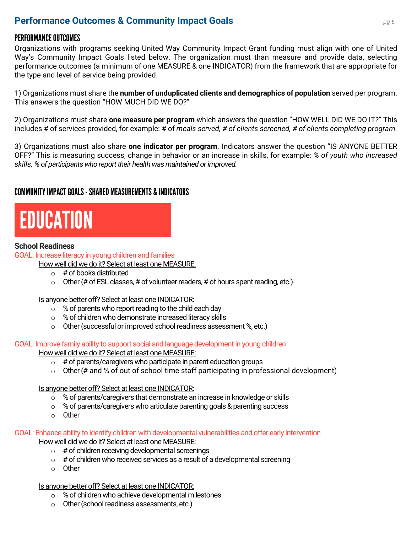#### **Performance Outcomes & Community Impact Goals** *pg <sup>6</sup>*

#### PERFORMANCE OUTCOMES

Organizations with programs seeking United Way Community Impact Grant funding must align with one of United Way's Community Impact Goals listed below. The organization must than measure and provide data, selecting performance outcomes (a minimum of one MEASURE & one INDICATOR) from the framework that are appropriate for the type and level of service being provided.

1) Organizations must share the **number of unduplicated clients and demographics of population** served per program. This answers the question "HOW MUCH DID WE DO?"

2) Organizations must share **one measure per program** which answers the question "HOW WELL DID WE DO IT?" This includes # of services provided, for example: # of *meals served, # of clients screened, # of clients completing program.*

3) Organizations must also share **one indicator per program**. Indicators answer the question "IS ANYONE BETTER OFF?" This is measuring success, change in behavior or an increase in skills, for example: *% of youth who increased skills, % of participants who report their health was maintained or improved.*

#### COMMUNITY IMPACT GOALS-SHARED MEASUREMENTS & INDICATORS

## EDUCATION

#### **School Readiness**

GOAL: Increase literacy in young children and families

- How well did we do it? Select at least one MEASURE:
	- $\circ$  # of books distributed
	- $\circ$  Other (# of ESL classes, # of volunteer readers, # of hours spent reading, etc.)

Is anyone better off? Select at least one INDICATOR:

- o % of parents who report reading to the child each day
- o % of children who demonstrate increased literacy skills
- o Other (successful or improved school readiness assessment %, etc.)

GOAL: Improve family ability to support social and language development in young children

How well did we do it? Select at least one MEASURE:

- $\circ$  # of parents/caregivers who participate in parent education groups
- $\circ$  Other (# and % of out of school time staff participating in professional development)

Is anyone better off? Select at least one INDICATOR:

- o % of parents/caregivers that demonstrate an increase in knowledge or skills
- $\degree$  % of parents/caregivers who articulate parenting goals & parenting success
- o Other

#### GOAL: Enhance ability to identify children with developmental vulnerabilities and offer early intervention

How well did we do it? Select at least one MEASURE:

- $\circ$  # of children receiving developmental screenings
- $\circ$  # of children who received services as a result of a developmental screening
- o Other

Is anyone better off? Select at least one INDICATOR:

- o % of children who achieve developmental milestones
- o Other (school readiness assessments, etc.)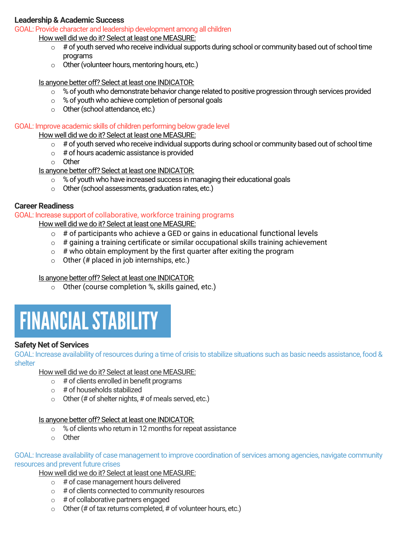#### **Leadership & Academic Success**

GOAL: Provide character and leadership development among all children

How well did we do it? Select at least one MEASURE:

- $\circ$  # of youth served who receive individual supports during school or community based out of school time programs
- o Other (volunteer hours, mentoring hours, etc.)

Is anyone better off? Select at least one INDICATOR:

- o % of youth who demonstrate behavior change related to positive progression through services provided
- o % of youth who achieve completion of personal goals
- o Other (school attendance, etc.)

#### GOAL: Improve academic skills of children performing below grade level

How well did we do it? Select at least one MEASURE:

- $\circ$  # of youth served who receive individual supports during school or community based out of school time
- $\circ$  # of hours academic assistance is provided
- o Other

Is anyone better off? Select at least one INDICATOR:

- $\circ$  % of vouth who have increased success in managing their educational goals
- o Other (school assessments, graduation rates, etc.)

#### **Career Readiness**

#### GOAL: Increase support of collaborative, workforce training programs

How well did we do it? Select at least one MEASURE:

- $\circ$  # of participants who achieve a GED or gains in educational functional levels
- $\circ$  # gaining a training certificate or similar occupational skills training achievement
- $\circ$  # who obtain employment by the first quarter after exiting the program
- $\circ$  Other (# placed in job internships, etc.)

#### Is anyone better off? Select at least one INDICATOR:

o Other (course completion %, skills gained, etc.)



#### **Safety Net of Services**

GOAL: Increase availability of resources during a time of crisis to stabilize situations such as basic needs assistance, food & shelter

How well did we do it? Select at least one MEASURE:

- $\circ$  # of clients enrolled in benefit programs
- $\circ$  # of households stabilized
- $\circ$  Other (# of shelter nights, # of meals served, etc.)

#### Is anyone better off? Select at least one INDICATOR:

- o % of clients who return in 12 months for repeat assistance
- o Other

GOAL: Increase availability of case management to improve coordination of services among agencies, navigate community resources and prevent future crises

How well did we do it? Select at least one MEASURE:

- $\circ$  # of case management hours delivered
- $\circ$  # of clients connected to community resources
- $\circ$  # of collaborative partners engaged
- $\circ$  Other (# of tax returns completed, # of volunteer hours, etc.)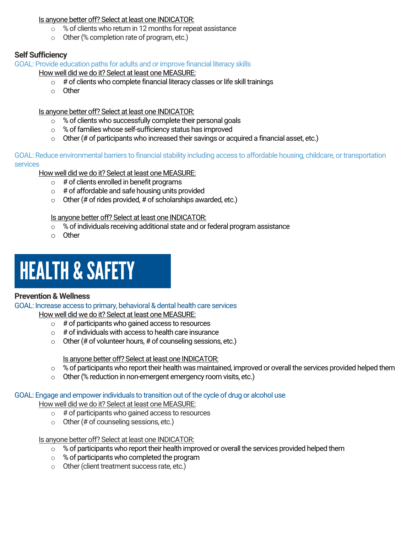#### Is anyone better off? Select at least one INDICATOR:

- o % of clients who return in 12 months for repeat assistance
- o Other (% completion rate of program, etc.)

#### **Self Sufficiency**

GOAL: Provide education paths for adults and or improve financial literacy skills

How well did we do it? Select at least one MEASURE:

- $\circ$  # of clients who complete financial literacy classes or life skill trainings
- o Other

Is anyone better off? Select at least one INDICATOR:

- o % of clients who successfully complete their personal goals
- o % of families whose self-sufficiency status has improved
- $\circ$  Other (# of participants who increased their savings or acquired a financial asset, etc.)

GOAL: Reduce environmental barriers to financial stability including access to affordable housing, childcare, or transportation services

How well did we do it? Select at least one MEASURE:

- $\circ$  # of clients enrolled in benefit programs
- $\circ$  # of affordable and safe housing units provided
- $\circ$  Other (# of rides provided, # of scholarships awarded, etc.)

#### Is anyone better off? Select at least one INDICATOR:

- o % of individuals receiving additional state and or federal program assistance
- o Other

## HEALTH & SAFETY

#### **Prevention & Wellness**

GOAL: Increase access to primary, behavioral & dental health care services How well did we do it? Select at least one MEASURE:

- $\circ$  # of participants who gained access to resources
- $\circ$  # of individuals with access to health care insurance
- $\circ$  Other (# of volunteer hours, # of counseling sessions, etc.)

Is anyone better off? Select at least one INDICATOR:

- o % of participants who report their health was maintained, improved or overall the services provided helped them
- o Other (% reduction in non-emergent emergency room visits, etc.)

#### GOAL: Engage and empower individuals to transition out of the cycle of drug or alcohol use

How well did we do it? Select at least one MEASURE:

- $\circ$  # of participants who gained access to resources
- $\circ$  Other (# of counseling sessions, etc.)

#### Is anyone better off? Select at least one INDICATOR:

- $\circ$  % of participants who report their health improved or overall the services provided helped them
- o % of participants who completed the program
- o Other (client treatment success rate, etc.)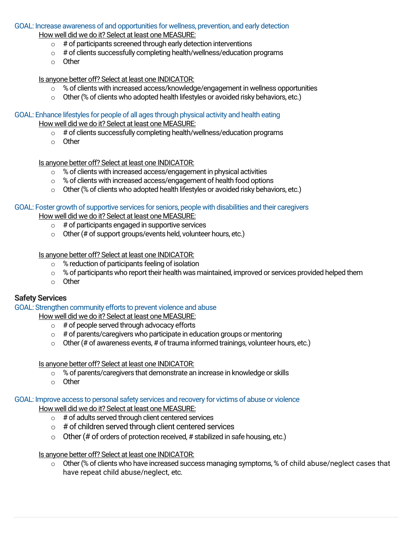#### GOAL: Increase awareness of and opportunities for wellness, prevention, and early detection

How well did we do it? Select at least one MEASURE:

- $\circ$  # of participants screened through early detection interventions
- o # of clients successfully completing health/wellness/education programs
- o Other

Is anyone better off? Select at least one INDICATOR:

- $\circ$  % of clients with increased access/knowledge/engagement in wellness opportunities
- o Other (% of clients who adopted health lifestyles or avoided risky behaviors, etc.)

GOAL: Enhance lifestyles for people of all ages through physical activity and health eating

How well did we do it? Select at least one MEASURE:

- $\circ$  # of clients successfully completing health/wellness/education programs
- o Other

Is anyone better off? Select at least one INDICATOR:

- $\circ$  % of clients with increased access/engagement in physical activities
- o % of clients with increased access/engagement of health food options
- o Other (% of clients who adopted health lifestyles or avoided risky behaviors, etc.)

#### GOAL: Foster growth of supportive services for seniors, people with disabilities and their caregivers

How well did we do it? Select at least one MEASURE:

- $\circ$  # of participants engaged in supportive services
- $\circ$  Other (# of support groups/events held, volunteer hours, etc.)

#### Is anyone better off? Select at least one INDICATOR:

- o % reduction of participants feeling of isolation
- o % of participants who report their health was maintained, improved or services provided helped them
- o Other

#### **Safety Services**

GOAL: Strengthen community efforts to prevent violence and abuse

How well did we do it? Select at least one MEASURE:

- $\circ$  # of people served through advocacy efforts
- $\circ$  # of parents/caregivers who participate in education groups or mentoring
- $\circ$  Other (# of awareness events, # of trauma informed trainings, volunteer hours, etc.)

#### Is anyone better off? Select at least one INDICATOR:

- o % of parents/caregivers that demonstrate an increase in knowledge or skills
- o Other

#### GOAL: Improve access to personal safety services and recovery for victims of abuse or violence

How well did we do it? Select at least one MEASURE:

- $\circ$  # of adults served through client centered services
- $\circ$  # of children served through client centered services
- $\circ$  Other (# of orders of protection received, # stabilized in safe housing, etc.)

#### Is anyone better off? Select at least one INDICATOR:

o Other (% of clients who have increased success managing symptoms, % of child abuse/neglect cases that have repeat child abuse/neglect, etc.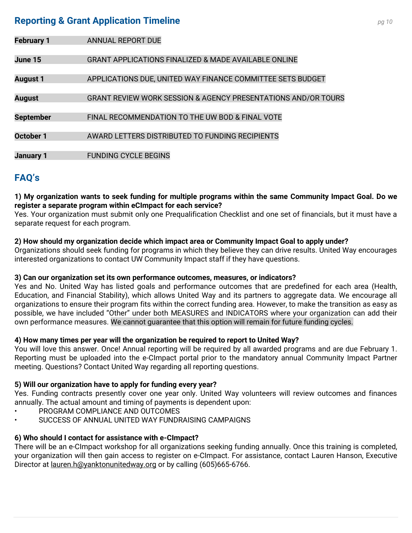#### **Reporting & Grant Application Timeline** *pg <sup>10</sup>*

| <b>February 1</b> | ANNUAL REPORT DUE                                                        |
|-------------------|--------------------------------------------------------------------------|
|                   |                                                                          |
| June 15           | <b>GRANT APPLICATIONS FINALIZED &amp; MADE AVAILABLE ONLINE</b>          |
|                   |                                                                          |
| <b>August 1</b>   | APPLICATIONS DUE, UNITED WAY FINANCE COMMITTEE SETS BUDGET               |
|                   |                                                                          |
| <b>August</b>     | <b>GRANT REVIEW WORK SESSION &amp; AGENCY PRESENTATIONS AND/OR TOURS</b> |
|                   |                                                                          |
| <b>September</b>  | FINAL RECOMMENDATION TO THE UW BOD & FINAL VOTE                          |
|                   |                                                                          |
| October 1         | AWARD LETTERS DISTRIBUTED TO FUNDING RECIPIENTS                          |
|                   |                                                                          |
| <b>January 1</b>  | <b>FUNDING CYCLE BEGINS</b>                                              |

#### **FAQ's**

#### **1) My organization wants to seek funding for multiple programs within the same Community Impact Goal. Do we register a separate program within eCImpact for each service?**

Yes. Your organization must submit only one Prequalification Checklist and one set of financials, but it must have a separate request for each program.

#### **2) How should my organization decide which impact area or Community Impact Goal to apply under?**

Organizations should seek funding for programs in which they believe they can drive results. United Way encourages interested organizations to contact UW Community Impact staff if they have questions.

#### **3) Can our organization set its own performance outcomes, measures, or indicators?**

Yes and No. United Way has listed goals and performance outcomes that are predefined for each area (Health, Education, and Financial Stability), which allows United Way and its partners to aggregate data. We encourage all organizations to ensure their program fits within the correct funding area. However, to make the transition as easy as possible, we have included "Other" under both MEASURES and INDICATORS where your organization can add their own performance measures. We cannot guarantee that this option will remain for future funding cycles.

#### **4) How many times per year will the organization be required to report to United Way?**

You will love this answer. Once! Annual reporting will be required by all awarded programs and are due February 1. Reporting must be uploaded into the e-CImpact portal prior to the mandatory annual Community Impact Partner meeting. Questions? Contact United Way regarding all reporting questions.

#### **5) Will our organization have to apply for funding every year?**

Yes. Funding contracts presently cover one year only. United Way volunteers will review outcomes and finances annually. The actual amount and timing of payments is dependent upon:

- PROGRAM COMPLIANCE AND OUTCOMES
- SUCCESS OF ANNUAL UNITED WAY FUNDRAISING CAMPAIGNS

#### **6) Who should I contact for assistance with e-CImpact?**

There will be an e-CImpact workshop for all organizations seeking funding annually. Once this training is completed, your organization will then gain access to register on e-CImpact. For assistance, contact Lauren Hanson, Executive Director at <u>lauren.h@yanktonunitedway.org</u> or by calling (605)665-6766.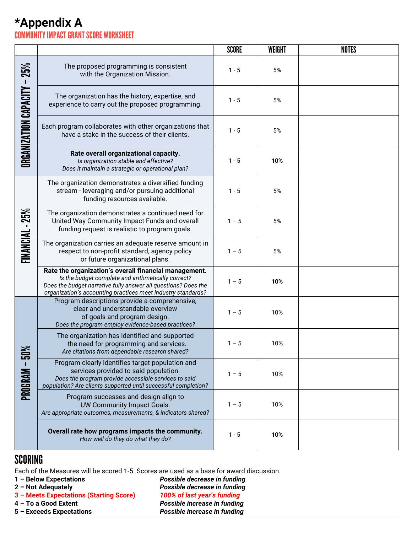#### **\*Appendix A** COMMUNITY IMPACT GRANT SCORE WORKSHEET

|                                       |                                                                                                                                                                                                                                               | <b>SCORE</b> | <b>WEIGHT</b> | <b>NOTES</b> |
|---------------------------------------|-----------------------------------------------------------------------------------------------------------------------------------------------------------------------------------------------------------------------------------------------|--------------|---------------|--------------|
| 25%<br><b>ORGANIZATION CAPACITY -</b> | The proposed programming is consistent<br>with the Organization Mission.                                                                                                                                                                      | $1 - 5$      | 5%            |              |
|                                       | The organization has the history, expertise, and<br>experience to carry out the proposed programming.                                                                                                                                         | $1 - 5$      | 5%            |              |
|                                       | Each program collaborates with other organizations that<br>have a stake in the success of their clients.                                                                                                                                      | $1 - 5$      | 5%            |              |
|                                       | Rate overall organizational capacity.<br>Is organization stable and effective?<br>Does it maintain a strategic or operational plan?                                                                                                           | $1 - 5$      | 10%           |              |
| FINANCIAL - 25%                       | The organization demonstrates a diversified funding<br>stream - leveraging and/or pursuing additional<br>funding resources available.                                                                                                         | $1 - 5$      | 5%            |              |
|                                       | The organization demonstrates a continued need for<br>United Way Community Impact Funds and overall<br>funding request is realistic to program goals.                                                                                         | $1 - 5$      | 5%            |              |
|                                       | The organization carries an adequate reserve amount in<br>respect to non-profit standard, agency policy<br>or future organizational plans.                                                                                                    | $1 - 5$      | 5%            |              |
|                                       | Rate the organization's overall financial management.<br>Is the budget complete and arithmetically correct?<br>Does the budget narrative fully answer all questions? Does the<br>organization's accounting practices meet industry standards? | $1 - 5$      | 10%           |              |
| 50%<br>PROGRAM -                      | Program descriptions provide a comprehensive,<br>clear and understandable overview<br>of goals and program design.<br>Does the program employ evidence-based practices?                                                                       | $1 - 5$      | 10%           |              |
|                                       | The organization has identified and supported<br>the need for programming and services.<br>Are citations from dependable research shared?                                                                                                     | $1 - 5$      | 10%           |              |
|                                       | Program clearly identifies target population and<br>services provided to said population.<br>Does the program provide accessible services to said<br>population? Are clients supported until successful completion?                           | $1 - 5$      | 10%           |              |
|                                       | Program successes and design align to<br>UW Community Impact Goals.<br>Are appropriate outcomes, measurements, & indicators shared?                                                                                                           | $1 - 5$      | 10%           |              |
|                                       | Overall rate how programs impacts the community.<br>How well do they do what they do?                                                                                                                                                         | $1 - 5$      | 10%           |              |

#### **SCORING**

Each of the Measures will be scored 1-5. Scores are used as a base for award discussion.

**3 – Meets Expectations (Starting Score)** *100% of last year's funding*

**– Below Expectations** *Possible decrease in funding* **– Not Adequately** *Possible decrease in funding*  **– To a Good Extent** *Possible increase in funding*  **– Exceeds Expectations** *Possible increase in funding*